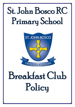## St. John Bosco RC Primary School



# Breakfast Club Policy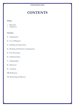### **CONTENTS**

#### **Policy**

- **Rationale**
- **Objectives**

#### **Sections**

- **1.** Organisation
- **2.** Use of Registers
- **3.** Staffing and Supervision
- **4.** Booking and Payment Arrangements
- **5.** Fire Procedures
- **6.** Health & Safety
- **7.** Safeguarding
- **8.** Behaviour
- **9.** Accidents
- **10.** Medication
- **11.** Monitoring and Review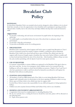### **Breakfast Club Policy**

#### **RATIONALE**

St. John Bosco Breakfast Club is an extended school activity designed to allow children to be in school from 8am onwards, to have the opportunity to have breakfast and to participate in sporting activities. This provides a healthy start to the school day and helps children develop their social and interactive skills.

#### **OBJECTIVES**

- To provide a welcoming, safe and secure environment for pupils before the beginning of the school day.
- To enable pupils to eat breakfast before the start of the school day in a pleasant, relaxed environment.
- To provide a calm play environment.
- To provide an affordable service for working parents.

#### **1. ORGANISATION**

Breakfast Club is manned by school support staff and is open to pupils from Reception to Year 6 however if demand exceeds the number of places available, a waiting list will be maintained. Breakfast Club is held in the school hall and doors open at 8.00am (the official start time for support staff), however if pupils require a breakfast they must arrive before 8.20am to enable staff to clear food and clean before the start of the school day. After breakfast, children will go out onto the yard, weather permitting, with the Sports Coach for some sports activities.

#### **2. USE OF REGISTERS**

It is parents' responsibility to ensure children are registered on the Breakfast Club sign in sheet as they arrive each day. In case of an emergency where children need to be evacuated from the building we will use the register to check that all children are present. Pupils in Year 5 and Year 6 who have permission to walk to and from school by themselves are allowed to self-register for Breakfast Club without an adult present.

#### **3. STAFFING AND SUPERVISION**

- All members of staff are DBS cleared and a First Aider is on site during Breakfast Club hours.
- Support staff voluntarily arrive in school prior to the doors opening at 8.00am in order to set up.
- Doors open at 8.00am which is the official start time for support staff.
- St. John Bosco School cannot take responsibility for any child arriving prior to being registered at 8.00am.
- Children can arrive anytime between 8.00am and 8.20am if they wish to eat a breakfast.

#### **4. BOOKING AND PAYMENT ARRANGEMENTS**

- A registration form must be completed prior to attending Breakfast Club.
- We do not currently have a waiting list however should the need arise, places will be allocated on the following basis:
	- Pupils whose parents work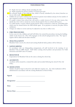- $\bullet$  Pupils who have siblings already attending the club
- Pupils requiring the greatest number of sessions per week
- We currently charge  $f_1$  per child per day, which is heavily subsidised by the school, therefore we do not offer credit. (See Appendix 1)
- Children do not need to attend every day however parents must indicate and pay for the number of days required in advance on a Monday morning.
- If a pupil is absent from school they will receive a credit, however if, for any other reason, they decide they don't wish to attend any session already paid for then no refund will be given.
- If a child attends a session without paying parents will be contacted to settle the outstanding debt which must be cleared before the child attends again. If no payment is received, the place will be withdrawn.
- Charges are subject to review and may be adjusted at any time to reflect costs.

#### **5. FIRE PROCEDURES**

In the event of a fire, children and staff will follow the normal fire procedures, leaving the building calmly via the closest exit. They will congregate on the school's playground in a line. The 'sign in' register will be called and all names checked.

#### **6. HEALTH & SAFETY**

Breakfast Club is run by the school and existing Health & Safety policies will be followed.

#### **7. SAFEGUARDING**

In accordance with our Safeguarding arrangements, all staff involved in the running of our Breakfast Club are DBS cleared. Staff follow existing school policies and procedures for Child Protection and Staff Code of Conduct.

#### **8. BEHAVIOUR**

Expectations for Breakfast Club are the same as during the school day.

#### **9. ACCIDENTS**

Accidents will be treated by a trained first aider and recorded following the school's First Aid Policy.

#### **10. MEDICATION**

Inhalers should be kept in school for each child who requires one. Any other medication will be administered in accordance with the existing Medication in School Policy.

| Signed:             |  |
|---------------------|--|
|                     |  |
|                     |  |
| Designation: ______ |  |
|                     |  |
|                     |  |
| Date:               |  |
|                     |  |
|                     |  |

| <b>Review Date:</b> |  |  |  |  |  |
|---------------------|--|--|--|--|--|
|                     |  |  |  |  |  |